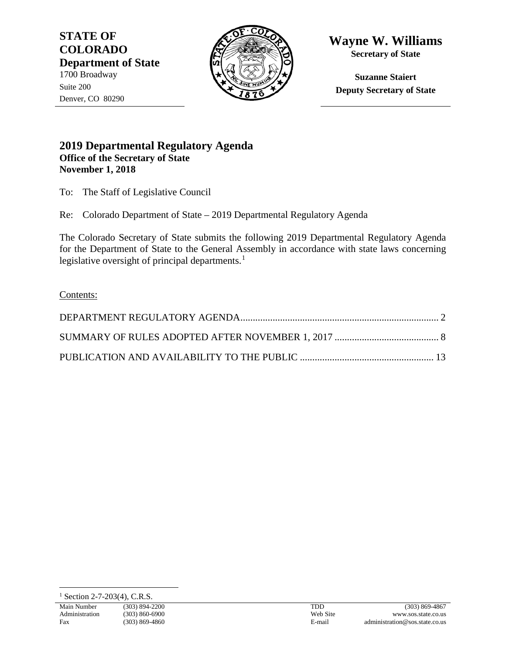**STATE OF COLORADO Department of State** 1700 Broadway Suite 200 Denver, CO 80290



**Wayne W. Williams Secretary of State**

**Suzanne Staiert Deputy Secretary of State**

## **2019 Departmental Regulatory Agenda Office of the Secretary of State November 1, 2018**

To: The Staff of Legislative Council

Re: Colorado Department of State – 2019 Departmental Regulatory Agenda

The Colorado Secretary of State submits the following 2019 Departmental Regulatory Agenda for the Department of State to the General Assembly in accordance with state laws concerning legislative oversight of principal departments. $<sup>1</sup>$  $<sup>1</sup>$  $<sup>1</sup>$ </sup>

Contents:

TDD Web Site E-mail

<span id="page-0-0"></span> $1$  Section 2-7-203(4), C.R.S.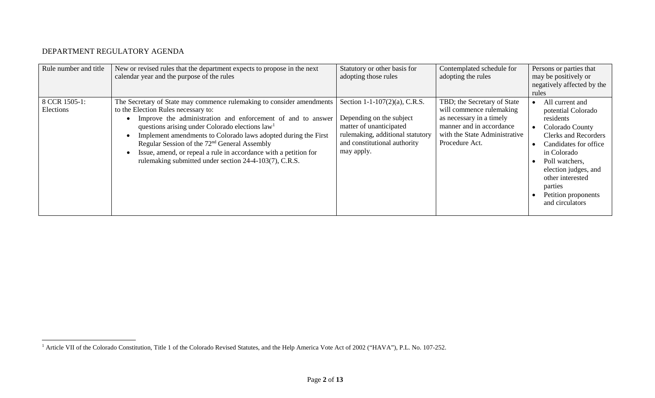## <span id="page-1-1"></span>DEPARTMENT REGULATORY AGENDA

<span id="page-1-0"></span>

| Rule number and title      | New or revised rules that the department expects to propose in the next<br>calendar year and the purpose of the rules                                                                                                                                                                                                                                                                                                                                                                        | Statutory or other basis for<br>adopting those rules                                                                                                                   | Contemplated schedule for<br>adopting the rules                                                                                                                    | Persons or parties that<br>may be positively or<br>negatively affected by the<br>rules                                                                                                                                                                          |
|----------------------------|----------------------------------------------------------------------------------------------------------------------------------------------------------------------------------------------------------------------------------------------------------------------------------------------------------------------------------------------------------------------------------------------------------------------------------------------------------------------------------------------|------------------------------------------------------------------------------------------------------------------------------------------------------------------------|--------------------------------------------------------------------------------------------------------------------------------------------------------------------|-----------------------------------------------------------------------------------------------------------------------------------------------------------------------------------------------------------------------------------------------------------------|
| 8 CCR 1505-1:<br>Elections | The Secretary of State may commence rulemaking to consider amendments<br>to the Election Rules necessary to:<br>Improve the administration and enforcement of and to answer<br>questions arising under Colorado elections $law1$<br>Implement amendments to Colorado laws adopted during the First<br>Regular Session of the 72 <sup>nd</sup> General Assembly<br>Issue, amend, or repeal a rule in accordance with a petition for<br>rulemaking submitted under section 24-4-103(7), C.R.S. | Section 1-1-107(2)(a), C.R.S.<br>Depending on the subject<br>matter of unanticipated<br>rulemaking, additional statutory<br>and constitutional authority<br>may apply. | TBD; the Secretary of State<br>will commence rulemaking<br>as necessary in a timely<br>manner and in accordance<br>with the State Administrative<br>Procedure Act. | All current and<br>potential Colorado<br>residents<br>Colorado County<br><b>Clerks and Recorders</b><br>Candidates for office<br>in Colorado<br>Poll watchers.<br>election judges, and<br>other interested<br>parties<br>Petition proponents<br>and circulators |

<sup>&</sup>lt;sup>1</sup> Article VII of the Colorado Constitution, Title 1 of the Colorado Revised Statutes, and the Help America Vote Act of 2002 ("HAVA"), P.L. No. 107-252.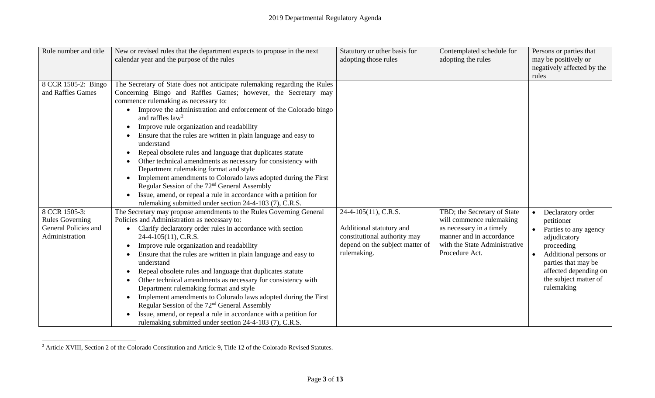<span id="page-2-0"></span>

| Rule number and title                                                             | New or revised rules that the department expects to propose in the next<br>calendar year and the purpose of the rules                                                                                                                                                                                                                                                                                                                                                                                                                                                                                                                                                                                                                                                                                                                              | Statutory or other basis for<br>adopting those rules                                                                               | Contemplated schedule for<br>adopting the rules                                                                                                                    | Persons or parties that<br>may be positively or<br>negatively affected by the<br>rules                                                                                                                              |
|-----------------------------------------------------------------------------------|----------------------------------------------------------------------------------------------------------------------------------------------------------------------------------------------------------------------------------------------------------------------------------------------------------------------------------------------------------------------------------------------------------------------------------------------------------------------------------------------------------------------------------------------------------------------------------------------------------------------------------------------------------------------------------------------------------------------------------------------------------------------------------------------------------------------------------------------------|------------------------------------------------------------------------------------------------------------------------------------|--------------------------------------------------------------------------------------------------------------------------------------------------------------------|---------------------------------------------------------------------------------------------------------------------------------------------------------------------------------------------------------------------|
| 8 CCR 1505-2: Bingo<br>and Raffles Games                                          | The Secretary of State does not anticipate rulemaking regarding the Rules<br>Concerning Bingo and Raffles Games; however, the Secretary may<br>commence rulemaking as necessary to:<br>• Improve the administration and enforcement of the Colorado bingo<br>and raffles $law2$<br>Improve rule organization and readability<br>Ensure that the rules are written in plain language and easy to<br>understand<br>Repeal obsolete rules and language that duplicates statute<br>Other technical amendments as necessary for consistency with<br>Department rulemaking format and style<br>Implement amendments to Colorado laws adopted during the First<br>Regular Session of the 72 <sup>nd</sup> General Assembly<br>Issue, amend, or repeal a rule in accordance with a petition for<br>rulemaking submitted under section 24-4-103 (7), C.R.S. |                                                                                                                                    |                                                                                                                                                                    |                                                                                                                                                                                                                     |
| 8 CCR 1505-3:<br><b>Rules Governing</b><br>General Policies and<br>Administration | The Secretary may propose amendments to the Rules Governing General<br>Policies and Administration as necessary to:<br>Clarify declaratory order rules in accordance with section<br>$24-4-105(11)$ , C.R.S.<br>Improve rule organization and readability<br>Ensure that the rules are written in plain language and easy to<br>understand<br>Repeal obsolete rules and language that duplicates statute<br>Other technical amendments as necessary for consistency with<br>Department rulemaking format and style<br>Implement amendments to Colorado laws adopted during the First<br>Regular Session of the 72 <sup>nd</sup> General Assembly<br>Issue, amend, or repeal a rule in accordance with a petition for<br>rulemaking submitted under section 24-4-103 (7), C.R.S.                                                                    | 24-4-105(11), C.R.S.<br>Additional statutory and<br>constitutional authority may<br>depend on the subject matter of<br>rulemaking. | TBD; the Secretary of State<br>will commence rulemaking<br>as necessary in a timely<br>manner and in accordance<br>with the State Administrative<br>Procedure Act. | Declaratory order<br>petitioner<br>Parties to any agency<br>adjudicatory<br>proceeding<br>Additional persons or<br>$\bullet$<br>parties that may be<br>affected depending on<br>the subject matter of<br>rulemaking |

<sup>&</sup>lt;sup>2</sup> Article XVIII, Section 2 of the Colorado Constitution and Article 9, Title 12 of the Colorado Revised Statutes.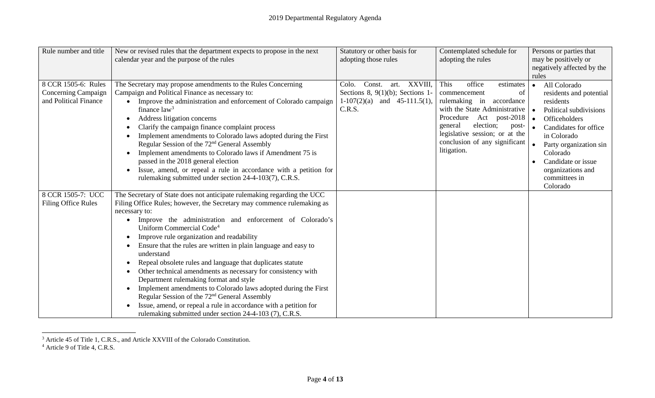<span id="page-3-1"></span><span id="page-3-0"></span>

| Rule number and title                      | New or revised rules that the department expects to propose in the next                                              | Statutory or other basis for                                           | Contemplated schedule for                                       | Persons or parties that              |
|--------------------------------------------|----------------------------------------------------------------------------------------------------------------------|------------------------------------------------------------------------|-----------------------------------------------------------------|--------------------------------------|
|                                            | calendar year and the purpose of the rules                                                                           | adopting those rules                                                   | adopting the rules                                              | may be positively or                 |
|                                            |                                                                                                                      |                                                                        |                                                                 | negatively affected by the           |
|                                            |                                                                                                                      |                                                                        |                                                                 | rules                                |
| 8 CCR 1505-6: Rules<br>Concerning Campaign | The Secretary may propose amendments to the Rules Concerning<br>Campaign and Political Finance as necessary to:      | Const.<br>art. XXVIII,<br>Colo.<br>Sections 8, $9(1)(b)$ ; Sections 1- | This<br>office<br>estimates                                     | All Colorado<br>$\bullet$            |
| and Political Finance                      | Improve the administration and enforcement of Colorado campaign                                                      | $1-107(2)(a)$ and $45-111.5(1)$ ,                                      | commencement<br>of<br>rulemaking in accordance                  | residents and potential<br>residents |
|                                            | finance $law3$                                                                                                       | C.R.S.                                                                 | with the State Administrative                                   | Political subdivisions               |
|                                            | Address litigation concerns                                                                                          |                                                                        | Procedure Act post-2018                                         | Officeholders<br>$\bullet$           |
|                                            | Clarify the campaign finance complaint process                                                                       |                                                                        | general<br>election;<br>post-                                   | Candidates for office                |
|                                            | Implement amendments to Colorado laws adopted during the First                                                       |                                                                        | legislative session; or at the<br>conclusion of any significant | in Colorado                          |
|                                            | Regular Session of the 72 <sup>nd</sup> General Assembly<br>Implement amendments to Colorado laws if Amendment 75 is |                                                                        | litigation.                                                     | Party organization sin<br>Colorado   |
|                                            | passed in the 2018 general election                                                                                  |                                                                        |                                                                 | Candidate or issue                   |
|                                            | Issue, amend, or repeal a rule in accordance with a petition for                                                     |                                                                        |                                                                 | organizations and                    |
|                                            | rulemaking submitted under section 24-4-103(7), C.R.S.                                                               |                                                                        |                                                                 | committees in                        |
|                                            |                                                                                                                      |                                                                        |                                                                 | Colorado                             |
| 8 CCR 1505-7: UCC                          | The Secretary of State does not anticipate rulemaking regarding the UCC                                              |                                                                        |                                                                 |                                      |
| <b>Filing Office Rules</b>                 | Filing Office Rules; however, the Secretary may commence rulemaking as                                               |                                                                        |                                                                 |                                      |
|                                            | necessary to:                                                                                                        |                                                                        |                                                                 |                                      |
|                                            | Improve the administration and enforcement of Colorado's<br>Uniform Commercial Code <sup>4</sup>                     |                                                                        |                                                                 |                                      |
|                                            | Improve rule organization and readability                                                                            |                                                                        |                                                                 |                                      |
|                                            | Ensure that the rules are written in plain language and easy to<br>understand                                        |                                                                        |                                                                 |                                      |
|                                            | Repeal obsolete rules and language that duplicates statute                                                           |                                                                        |                                                                 |                                      |
|                                            | Other technical amendments as necessary for consistency with                                                         |                                                                        |                                                                 |                                      |
|                                            | Department rulemaking format and style                                                                               |                                                                        |                                                                 |                                      |
|                                            | Implement amendments to Colorado laws adopted during the First                                                       |                                                                        |                                                                 |                                      |
|                                            | Regular Session of the 72 <sup>nd</sup> General Assembly                                                             |                                                                        |                                                                 |                                      |
|                                            | Issue, amend, or repeal a rule in accordance with a petition for                                                     |                                                                        |                                                                 |                                      |
|                                            | rulemaking submitted under section 24-4-103 (7), C.R.S.                                                              |                                                                        |                                                                 |                                      |

<sup>&</sup>lt;sup>3</sup> Article 45 of Title 1, C.R.S., and Article XXVIII of the Colorado Constitution.

<sup>&</sup>lt;sup>4</sup> Article 9 of Title 4, C.R.S.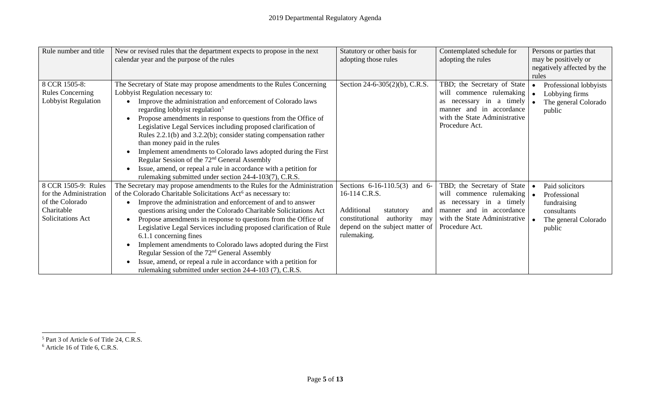<span id="page-4-1"></span><span id="page-4-0"></span>

| Rule number and title   | New or revised rules that the department expects to propose in the next    | Statutory or other basis for       | Contemplated schedule for     | Persons or parties that    |
|-------------------------|----------------------------------------------------------------------------|------------------------------------|-------------------------------|----------------------------|
|                         | calendar year and the purpose of the rules                                 | adopting those rules               | adopting the rules            | may be positively or       |
|                         |                                                                            |                                    |                               | negatively affected by the |
|                         |                                                                            |                                    |                               | rules                      |
| 8 CCR 1505-8:           | The Secretary of State may propose amendments to the Rules Concerning      | Section 24-6-305(2)(b), C.R.S.     | TBD; the Secretary of State   | Professional lobbyists     |
| <b>Rules Concerning</b> | Lobbyist Regulation necessary to:                                          |                                    | will commence rulemaking      | Lobbying firms             |
| Lobbyist Regulation     | Improve the administration and enforcement of Colorado laws                |                                    | necessary in a timely         | The general Colorado       |
|                         | regarding lobbyist regulation <sup>5</sup>                                 |                                    | manner and in accordance      | public                     |
|                         | Propose amendments in response to questions from the Office of             |                                    | with the State Administrative |                            |
|                         | Legislative Legal Services including proposed clarification of             |                                    | Procedure Act.                |                            |
|                         | Rules $2.2.1(b)$ and $3.2.2(b)$ ; consider stating compensation rather     |                                    |                               |                            |
|                         | than money paid in the rules                                               |                                    |                               |                            |
|                         | Implement amendments to Colorado laws adopted during the First             |                                    |                               |                            |
|                         | Regular Session of the 72 <sup>nd</sup> General Assembly                   |                                    |                               |                            |
|                         | Issue, amend, or repeal a rule in accordance with a petition for           |                                    |                               |                            |
|                         | rulemaking submitted under section 24-4-103(7), C.R.S.                     |                                    |                               |                            |
| 8 CCR 1505-9: Rules     | The Secretary may propose amendments to the Rules for the Administration   | Sections $6-16-110.5(3)$ and $6-$  | TBD; the Secretary of State   | Paid solicitors            |
| for the Administration  | of the Colorado Charitable Solicitations Act <sup>6</sup> as necessary to: | 16-114 C.R.S.                      | will commence rulemaking      | Professional               |
| of the Colorado         | Improve the administration and enforcement of and to answer                |                                    | as necessary in a timely      | fundraising                |
| Charitable              | questions arising under the Colorado Charitable Solicitations Act          | Additional<br>statutory<br>and     | manner and in accordance      | consultants                |
| Solicitations Act       | Propose amendments in response to questions from the Office of             | constitutional<br>authority<br>may | with the State Administrative | The general Colorado       |
|                         | Legislative Legal Services including proposed clarification of Rule        | depend on the subject matter of    | Procedure Act.                | public                     |
|                         | 6.1.1 concerning fines                                                     | rulemaking.                        |                               |                            |
|                         | Implement amendments to Colorado laws adopted during the First             |                                    |                               |                            |
|                         | Regular Session of the 72 <sup>nd</sup> General Assembly                   |                                    |                               |                            |
|                         | Issue, amend, or repeal a rule in accordance with a petition for           |                                    |                               |                            |
|                         | rulemaking submitted under section 24-4-103 (7), C.R.S.                    |                                    |                               |                            |

<sup>&</sup>lt;sup>5</sup> Part 3 of Article 6 of Title 24, C.R.S.

<sup>6</sup> Article 16 of Title 6, C.R.S.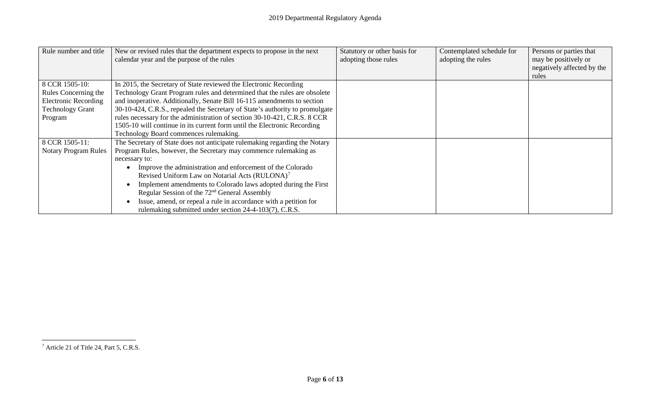<span id="page-5-0"></span>

| Rule number and title       | New or revised rules that the department expects to propose in the next      | Statutory or other basis for | Contemplated schedule for | Persons or parties that    |
|-----------------------------|------------------------------------------------------------------------------|------------------------------|---------------------------|----------------------------|
|                             | calendar year and the purpose of the rules                                   | adopting those rules         | adopting the rules        | may be positively or       |
|                             |                                                                              |                              |                           | negatively affected by the |
|                             |                                                                              |                              |                           | rules                      |
| 8 CCR 1505-10:              | In 2015, the Secretary of State reviewed the Electronic Recording            |                              |                           |                            |
| Rules Concerning the        | Technology Grant Program rules and determined that the rules are obsolete    |                              |                           |                            |
| <b>Electronic Recording</b> | and inoperative. Additionally, Senate Bill 16-115 amendments to section      |                              |                           |                            |
| <b>Technology Grant</b>     | 30-10-424, C.R.S., repealed the Secretary of State's authority to promulgate |                              |                           |                            |
| Program                     | rules necessary for the administration of section 30-10-421, C.R.S. 8 CCR    |                              |                           |                            |
|                             | 1505-10 will continue in its current form until the Electronic Recording     |                              |                           |                            |
|                             | Technology Board commences rulemaking.                                       |                              |                           |                            |
| 8 CCR 1505-11:              | The Secretary of State does not anticipate rulemaking regarding the Notary   |                              |                           |                            |
| <b>Notary Program Rules</b> | Program Rules, however, the Secretary may commence rulemaking as             |                              |                           |                            |
|                             | necessary to:                                                                |                              |                           |                            |
|                             | Improve the administration and enforcement of the Colorado                   |                              |                           |                            |
|                             | Revised Uniform Law on Notarial Acts (RULONA) <sup>7</sup>                   |                              |                           |                            |
|                             | Implement amendments to Colorado laws adopted during the First               |                              |                           |                            |
|                             | Regular Session of the 72 <sup>nd</sup> General Assembly                     |                              |                           |                            |
|                             | Issue, amend, or repeal a rule in accordance with a petition for             |                              |                           |                            |
|                             | rulemaking submitted under section 24-4-103(7), C.R.S.                       |                              |                           |                            |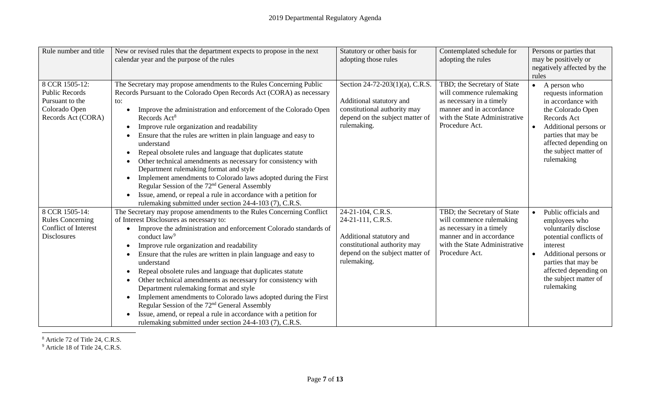<span id="page-6-1"></span><span id="page-6-0"></span>

| Rule number and title                      | New or revised rules that the department expects to propose in the next                                      | Statutory or other basis for                             | Contemplated schedule for                            | Persons or parties that                 |
|--------------------------------------------|--------------------------------------------------------------------------------------------------------------|----------------------------------------------------------|------------------------------------------------------|-----------------------------------------|
|                                            | calendar year and the purpose of the rules                                                                   | adopting those rules                                     | adopting the rules                                   | may be positively or                    |
|                                            |                                                                                                              |                                                          |                                                      | negatively affected by the              |
|                                            |                                                                                                              |                                                          |                                                      | rules                                   |
| 8 CCR 1505-12:                             | The Secretary may propose amendments to the Rules Concerning Public                                          | Section 24-72-203(1)(a), C.R.S.                          | TBD; the Secretary of State                          | A person who<br>$\bullet$               |
| Public Records<br>Pursuant to the          | Records Pursuant to the Colorado Open Records Act (CORA) as necessary                                        |                                                          | will commence rulemaking                             | requests information                    |
| Colorado Open                              | to:<br>Improve the administration and enforcement of the Colorado Open                                       | Additional statutory and<br>constitutional authority may | as necessary in a timely<br>manner and in accordance | in accordance with<br>the Colorado Open |
| Records Act (CORA)                         | Records Act <sup>8</sup>                                                                                     | depend on the subject matter of                          | with the State Administrative                        | Records Act                             |
|                                            | Improve rule organization and readability                                                                    | rulemaking.                                              | Procedure Act.                                       | Additional persons or<br>$\bullet$      |
|                                            | Ensure that the rules are written in plain language and easy to                                              |                                                          |                                                      | parties that may be                     |
|                                            | understand                                                                                                   |                                                          |                                                      | affected depending on                   |
|                                            | Repeal obsolete rules and language that duplicates statute                                                   |                                                          |                                                      | the subject matter of                   |
|                                            | Other technical amendments as necessary for consistency with                                                 |                                                          |                                                      | rulemaking                              |
|                                            | Department rulemaking format and style                                                                       |                                                          |                                                      |                                         |
|                                            | Implement amendments to Colorado laws adopted during the First                                               |                                                          |                                                      |                                         |
|                                            | Regular Session of the 72 <sup>nd</sup> General Assembly                                                     |                                                          |                                                      |                                         |
|                                            | Issue, amend, or repeal a rule in accordance with a petition for                                             |                                                          |                                                      |                                         |
|                                            | rulemaking submitted under section 24-4-103 (7), C.R.S.                                                      |                                                          |                                                      |                                         |
| 8 CCR 1505-14:                             | The Secretary may propose amendments to the Rules Concerning Conflict                                        | 24-21-104, C.R.S.                                        | TBD; the Secretary of State                          | Public officials and                    |
| <b>Rules Concerning</b>                    | of Interest Disclosures as necessary to:                                                                     | 24-21-111, C.R.S.                                        | will commence rulemaking                             | employees who                           |
| Conflict of Interest<br><b>Disclosures</b> | Improve the administration and enforcement Colorado standards of<br>conduct law <sup>9</sup>                 | Additional statutory and                                 | as necessary in a timely<br>manner and in accordance | voluntarily disclose                    |
|                                            |                                                                                                              | constitutional authority may                             | with the State Administrative                        | potential conflicts of<br>interest      |
|                                            | Improve rule organization and readability<br>Ensure that the rules are written in plain language and easy to | depend on the subject matter of                          | Procedure Act.                                       | Additional persons or                   |
|                                            | understand                                                                                                   | rulemaking.                                              |                                                      | parties that may be                     |
|                                            | Repeal obsolete rules and language that duplicates statute                                                   |                                                          |                                                      | affected depending on                   |
|                                            | Other technical amendments as necessary for consistency with                                                 |                                                          |                                                      | the subject matter of                   |
|                                            | Department rulemaking format and style                                                                       |                                                          |                                                      | rulemaking                              |
|                                            | Implement amendments to Colorado laws adopted during the First                                               |                                                          |                                                      |                                         |
|                                            | Regular Session of the 72 <sup>nd</sup> General Assembly                                                     |                                                          |                                                      |                                         |
|                                            | Issue, amend, or repeal a rule in accordance with a petition for                                             |                                                          |                                                      |                                         |
|                                            | rulemaking submitted under section 24-4-103 (7), C.R.S.                                                      |                                                          |                                                      |                                         |

 $8$  Article 72 of Title 24, C.R.S.

<sup>9</sup> Article 18 of Title 24, C.R.S.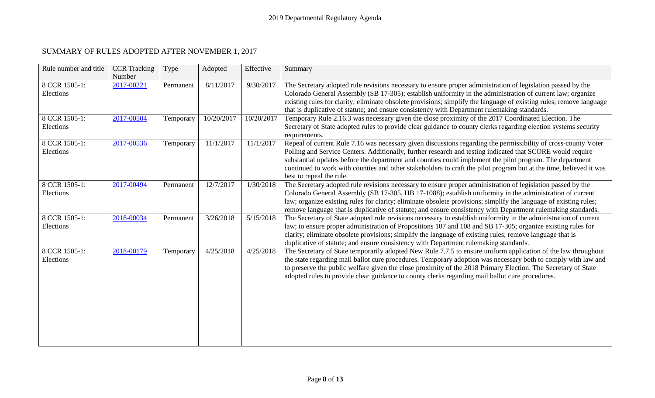## SUMMARY OF RULES ADOPTED AFTER NOVEMBER 1, 2017

<span id="page-7-0"></span>

| Rule number and title      | <b>CCR</b> Tracking<br>Number | Type      | Adopted    | Effective  | Summary                                                                                                                                                                                                                                                                                                                                                                                                                                                                                    |
|----------------------------|-------------------------------|-----------|------------|------------|--------------------------------------------------------------------------------------------------------------------------------------------------------------------------------------------------------------------------------------------------------------------------------------------------------------------------------------------------------------------------------------------------------------------------------------------------------------------------------------------|
| 8 CCR 1505-1:<br>Elections | 2017-00221                    | Permanent | 8/11/2017  | 9/30/2017  | The Secretary adopted rule revisions necessary to ensure proper administration of legislation passed by the<br>Colorado General Assembly (SB 17-305); establish uniformity in the administration of current law; organize<br>existing rules for clarity; eliminate obsolete provisions; simplify the language of existing rules; remove language<br>that is duplicative of statute; and ensure consistency with Department rulemaking standards.                                           |
| 8 CCR 1505-1:<br>Elections | 2017-00504                    | Temporary | 10/20/2017 | 10/20/2017 | Temporary Rule 2.16.3 was necessary given the close proximity of the 2017 Coordinated Election. The<br>Secretary of State adopted rules to provide clear guidance to county clerks regarding election systems security<br>requirements.                                                                                                                                                                                                                                                    |
| 8 CCR 1505-1:<br>Elections | 2017-00536                    | Temporary | 11/1/2017  | 11/1/2017  | Repeal of current Rule 7.16 was necessary given discussions regarding the permissibility of cross-county Voter<br>Polling and Service Centers. Additionally, further research and testing indicated that SCORE would require<br>substantial updates before the department and counties could implement the pilot program. The department<br>continued to work with counties and other stakeholders to craft the pilot program but at the time, believed it was<br>best to repeal the rule. |
| 8 CCR 1505-1:<br>Elections | 2017-00494                    | Permanent | 12/7/2017  | 1/30/2018  | The Secretary adopted rule revisions necessary to ensure proper administration of legislation passed by the<br>Colorado General Assembly (SB 17-305, HB 17-1088); establish uniformity in the administration of current<br>law; organize existing rules for clarity; eliminate obsolete provisions; simplify the language of existing rules;<br>remove language that is duplicative of statute; and ensure consistency with Department rulemaking standards.                               |
| 8 CCR 1505-1:<br>Elections | 2018-00034                    | Permanent | 3/26/2018  | 5/15/2018  | The Secretary of State adopted rule revisions necessary to establish uniformity in the administration of current<br>law; to ensure proper administration of Propositions 107 and 108 and SB 17-305; organize existing rules for<br>clarity; eliminate obsolete provisions; simplify the language of existing rules; remove language that is<br>duplicative of statute; and ensure consistency with Department rulemaking standards.                                                        |
| 8 CCR 1505-1:<br>Elections | 2018-00179                    | Temporary | 4/25/2018  | 4/25/2018  | The Secretary of State temporarily adopted New Rule 7.7.5 to ensure uniform application of the law throughout<br>the state regarding mail ballot cure procedures. Temporary adoption was necessary both to comply with law and<br>to preserve the public welfare given the close proximity of the 2018 Primary Election. The Secretary of State<br>adopted rules to provide clear guidance to county clerks regarding mail ballot cure procedures.                                         |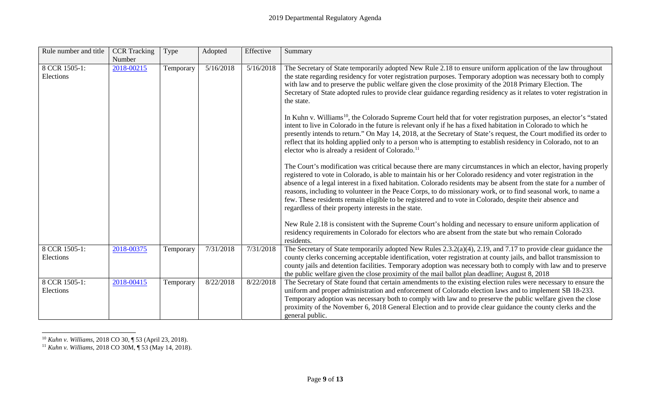<span id="page-8-1"></span><span id="page-8-0"></span>

| Rule number and title      | <b>CCR</b> Tracking<br>Number | Type      | Adopted   | Effective | Summary                                                                                                                                                                                                                                                                                                                                                                                                                                                                                                                                                                                                                                        |
|----------------------------|-------------------------------|-----------|-----------|-----------|------------------------------------------------------------------------------------------------------------------------------------------------------------------------------------------------------------------------------------------------------------------------------------------------------------------------------------------------------------------------------------------------------------------------------------------------------------------------------------------------------------------------------------------------------------------------------------------------------------------------------------------------|
| 8 CCR 1505-1:<br>Elections | 2018-00215                    | Temporary | 5/16/2018 | 5/16/2018 | The Secretary of State temporarily adopted New Rule 2.18 to ensure uniform application of the law throughout<br>the state regarding residency for voter registration purposes. Temporary adoption was necessary both to comply<br>with law and to preserve the public welfare given the close proximity of the 2018 Primary Election. The<br>Secretary of State adopted rules to provide clear guidance regarding residency as it relates to voter registration in<br>the state.                                                                                                                                                               |
|                            |                               |           |           |           | In Kuhn v. Williams <sup>10</sup> , the Colorado Supreme Court held that for voter registration purposes, an elector's "stated"<br>intent to live in Colorado in the future is relevant only if he has a fixed habitation in Colorado to which he<br>presently intends to return." On May 14, 2018, at the Secretary of State's request, the Court modified its order to<br>reflect that its holding applied only to a person who is attempting to establish residency in Colorado, not to an<br>elector who is already a resident of Colorado. <sup>11</sup>                                                                                  |
|                            |                               |           |           |           | The Court's modification was critical because there are many circumstances in which an elector, having properly<br>registered to vote in Colorado, is able to maintain his or her Colorado residency and voter registration in the<br>absence of a legal interest in a fixed habitation. Colorado residents may be absent from the state for a number of<br>reasons, including to volunteer in the Peace Corps, to do missionary work, or to find seasonal work, to name a<br>few. These residents remain eligible to be registered and to vote in Colorado, despite their absence and<br>regardless of their property interests in the state. |
|                            |                               |           |           |           | New Rule 2.18 is consistent with the Supreme Court's holding and necessary to ensure uniform application of<br>residency requirements in Colorado for electors who are absent from the state but who remain Colorado<br>residents.                                                                                                                                                                                                                                                                                                                                                                                                             |
| 8 CCR 1505-1:<br>Elections | 2018-00375                    | Temporary | 7/31/2018 | 7/31/2018 | The Secretary of State temporarily adopted New Rules 2.3.2(a)(4), 2.19, and 7.17 to provide clear guidance the<br>county clerks concerning acceptable identification, voter registration at county jails, and ballot transmission to<br>county jails and detention facilities. Temporary adoption was necessary both to comply with law and to preserve<br>the public welfare given the close proximity of the mail ballot plan deadline; August 8, 2018                                                                                                                                                                                       |
| 8 CCR 1505-1:<br>Elections | 2018-00415                    | Temporary | 8/22/2018 | 8/22/2018 | The Secretary of State found that certain amendments to the existing election rules were necessary to ensure the<br>uniform and proper administration and enforcement of Colorado election laws and to implement SB 18-233.<br>Temporary adoption was necessary both to comply with law and to preserve the public welfare given the close<br>proximity of the November 6, 2018 General Election and to provide clear guidance the county clerks and the<br>general public.                                                                                                                                                                    |

 <sup>10</sup> *Kuhn v. Williams*, 2018 CO 30, ¶ 53 (April 23, 2018).

<sup>11</sup> *Kuhn v. Williams*, 2018 CO 30M, ¶ 53 (May 14, 2018).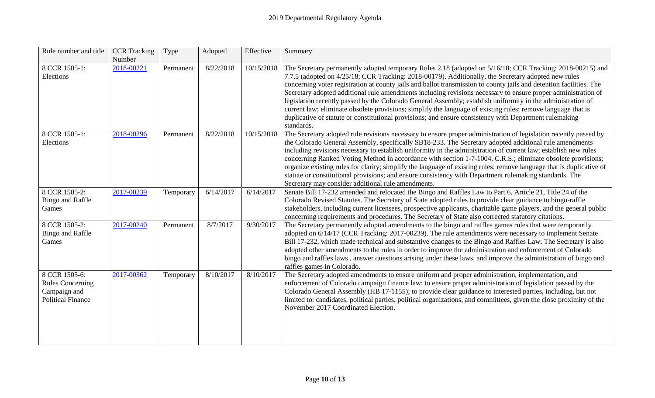| Rule number and title                                                                | <b>CCR</b> Tracking<br>Number | Type      | Adopted   | Effective  | Summary                                                                                                                                                                                                                                                                                                                                                                                                                                                                                                                                                                                                                                                                                                                                                                                                         |
|--------------------------------------------------------------------------------------|-------------------------------|-----------|-----------|------------|-----------------------------------------------------------------------------------------------------------------------------------------------------------------------------------------------------------------------------------------------------------------------------------------------------------------------------------------------------------------------------------------------------------------------------------------------------------------------------------------------------------------------------------------------------------------------------------------------------------------------------------------------------------------------------------------------------------------------------------------------------------------------------------------------------------------|
| 8 CCR 1505-1:<br>Elections                                                           | 2018-00221                    | Permanent | 8/22/2018 | 10/15/2018 | The Secretary permanently adopted temporary Rules 2.18 (adopted on 5/16/18; CCR Tracking: 2018-00215) and<br>7.7.5 (adopted on 4/25/18; CCR Tracking: 2018-00179). Additionally, the Secretary adopted new rules<br>concerning voter registration at county jails and ballot transmission to county jails and detention facilities. The<br>Secretary adopted additional rule amendments including revisions necessary to ensure proper administration of<br>legislation recently passed by the Colorado General Assembly; establish uniformity in the administration of<br>current law; eliminate obsolete provisions; simplify the language of existing rules; remove language that is<br>duplicative of statute or constitutional provisions; and ensure consistency with Department rulemaking<br>standards. |
| 8 CCR 1505-1:<br>Elections                                                           | 2018-00296                    | Permanent | 8/22/2018 | 10/15/2018 | The Secretary adopted rule revisions necessary to ensure proper administration of legislation recently passed by<br>the Colorado General Assembly, specifically SB18-233. The Secretary adopted additional rule amendments<br>including revisions necessary to establish uniformity in the administration of current law; establish new rules<br>concerning Ranked Voting Method in accordance with section 1-7-1004, C.R.S.; eliminate obsolete provisions;<br>organize existing rules for clarity; simplify the language of existing rules; remove language that is duplicative of<br>statute or constitutional provisions; and ensure consistency with Department rulemaking standards. The<br>Secretary may consider additional rule amendments.                                                            |
| 8 CCR 1505-2:<br><b>Bingo and Raffle</b><br>Games                                    | 2017-00239                    | Temporary | 6/14/2017 | 6/14/2017  | Senate Bill 17-232 amended and relocated the Bingo and Raffles Law to Part 6, Article 21, Title 24 of the<br>Colorado Revised Statutes. The Secretary of State adopted rules to provide clear guidance to bingo-raffle<br>stakeholders, including current licensees, prospective applicants, charitable game players, and the general public<br>concerning requirements and procedures. The Secretary of State also corrected statutory citations.                                                                                                                                                                                                                                                                                                                                                              |
| 8 CCR 1505-2:<br><b>Bingo and Raffle</b><br>Games                                    | 2017-00240                    | Permanent | 8/7/2017  | 9/30/2017  | The Secretary permanently adopted amendments to the bingo and raffles games rules that were temporarily<br>adopted on 6/14/17 (CCR Tracking: 2017-00239). The rule amendments were necessary to implement Senate<br>Bill 17-232, which made technical and substantive changes to the Bingo and Raffles Law. The Secretary is also<br>adopted other amendments to the rules in order to improve the administration and enforcement of Colorado<br>bingo and raffles laws, answer questions arising under these laws, and improve the administration of bingo and<br>raffles games in Colorado.                                                                                                                                                                                                                   |
| 8 CCR 1505-6:<br><b>Rules Concerning</b><br>Campaign and<br><b>Political Finance</b> | 2017-00362                    | Temporary | 8/10/2017 | 8/10/2017  | The Secretary adopted amendments to ensure uniform and proper administration, implementation, and<br>enforcement of Colorado campaign finance law; to ensure proper administration of legislation passed by the<br>Colorado General Assembly (HB 17-1155); to provide clear guidance to interested parties, including, but not<br>limited to: candidates, political parties, political organizations, and committees, given the close proximity of the<br>November 2017 Coordinated Election.                                                                                                                                                                                                                                                                                                                   |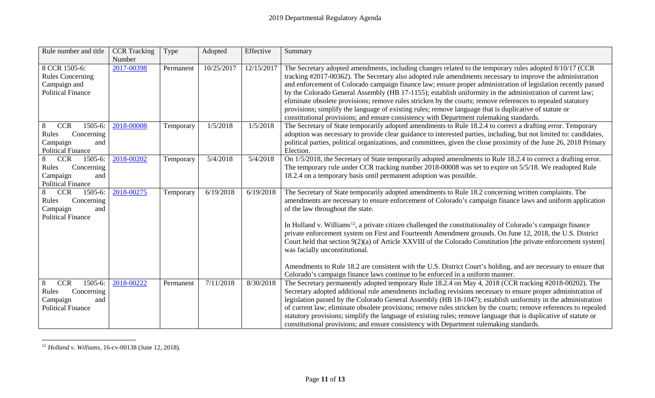<span id="page-10-0"></span>

| Rule number and title                                                                            | <b>CCR</b> Tracking<br>Number | Type      | Adopted    | Effective  | Summary                                                                                                                                                                                                                                                                                                                                                                                                                                                                                                                                                                                                                                                                                                                                                                                                                                                     |
|--------------------------------------------------------------------------------------------------|-------------------------------|-----------|------------|------------|-------------------------------------------------------------------------------------------------------------------------------------------------------------------------------------------------------------------------------------------------------------------------------------------------------------------------------------------------------------------------------------------------------------------------------------------------------------------------------------------------------------------------------------------------------------------------------------------------------------------------------------------------------------------------------------------------------------------------------------------------------------------------------------------------------------------------------------------------------------|
| 8 CCR 1505-6:<br><b>Rules Concerning</b><br>Campaign and<br><b>Political Finance</b>             | 2017-00398                    | Permanent | 10/25/2017 | 12/15/2017 | The Secretary adopted amendments, including changes related to the temporary rules adopted 8/10/17 (CCR<br>tracking #2017-00362). The Secretary also adopted rule amendments necessary to improve the administration<br>and enforcement of Colorado campaign finance law; ensure proper administration of legislation recently passed<br>by the Colorado General Assembly (HB 17-1155); establish uniformity in the administration of current law;<br>eliminate obsolete provisions; remove rules stricken by the courts; remove references to repealed statutory<br>provisions; simplify the language of existing rules; remove language that is duplicative of statute or<br>constitutional provisions; and ensure consistency with Department rulemaking standards.                                                                                      |
| 1505-6:<br>8<br><b>CCR</b><br>Concerning<br>Rules<br>Campaign<br>and<br><b>Political Finance</b> | 2018-00008                    | Temporary | 1/5/2018   | 1/5/2018   | The Secretary of State temporarily adopted amendments to Rule 18.2.4 to correct a drafting error. Temporary<br>adoption was necessary to provide clear guidance to interested parties, including, but not limited to: candidates,<br>political parties, political organizations, and committees, given the close proximity of the June 26, 2018 Primary<br>Election.                                                                                                                                                                                                                                                                                                                                                                                                                                                                                        |
| 8<br><b>CCR</b><br>1505-6:<br>Concerning<br>Rules<br>Campaign<br>and<br><b>Political Finance</b> | 2018-00202                    | Temporary | 5/4/2018   | 5/4/2018   | On 1/5/2018, the Secretary of State temporarily adopted amendments to Rule 18.2.4 to correct a drafting error.<br>The temporary rule under CCR tracking number 2018-00008 was set to expire on 5/5/18. We readopted Rule<br>18.2.4 on a temporary basis until permanent adoption was possible.                                                                                                                                                                                                                                                                                                                                                                                                                                                                                                                                                              |
| <b>CCR</b><br>1505-6:<br>8<br>Concerning<br>Rules<br>Campaign<br>and<br><b>Political Finance</b> | 2018-00275                    | Temporary | 6/19/2018  | 6/19/2018  | The Secretary of State temporarily adopted amendments to Rule 18.2 concerning written complaints. The<br>amendments are necessary to ensure enforcement of Colorado's campaign finance laws and uniform application<br>of the law throughout the state.<br>In Holland v. Williams <sup>12</sup> , a private citizen challenged the constitutionality of Colorado's campaign finance<br>private enforcement system on First and Fourteenth Amendment grounds. On June 12, 2018, the U.S. District<br>Court held that section $9(2)(a)$ of Article XXVIII of the Colorado Constitution [the private enforcement system]<br>was facially unconstitutional.<br>Amendments to Rule 18.2 are consistent with the U.S. District Court's holding, and are necessary to ensure that<br>Colorado's campaign finance laws continue to be enforced in a uniform manner. |
| 1505-6:<br><b>CCR</b><br>8<br>Concerning<br>Rules<br>Campaign<br>and<br><b>Political Finance</b> | 2018-00222                    | Permanent | 7/11/2018  | 8/30/2018  | The Secretary permanently adopted temporary Rule 18.2.4 on May 4, 2018 (CCR tracking #2018-00202). The<br>Secretary adopted additional rule amendments including revisions necessary to ensure proper administration of<br>legislation passed by the Colorado General Assembly (HB 18-1047); establish uniformity in the administration<br>of current law; eliminate obsolete provisions; remove rules stricken by the courts; remove references to repealed<br>statutory provisions; simplify the language of existing rules; remove language that is duplicative of statute or<br>constitutional provisions; and ensure consistency with Department rulemaking standards.                                                                                                                                                                                 |

 <sup>12</sup> *Holland v. Williams*, 16-cv-00138 (June 12, 2018).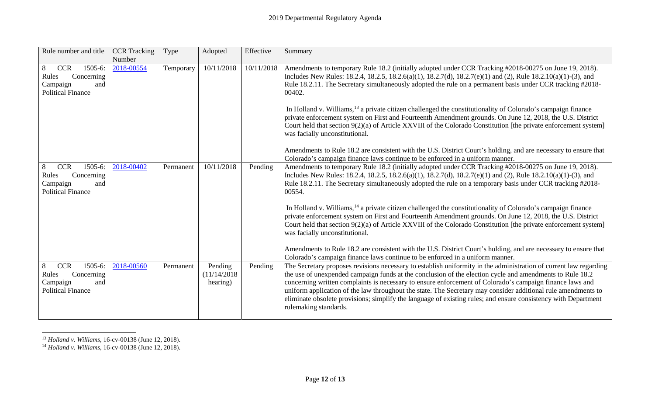<span id="page-11-1"></span><span id="page-11-0"></span>

| Rule number and title                                                                            | <b>CCR</b> Tracking<br>Number | Type      | Adopted                            | Effective  | Summary                                                                                                                                                                                                                                                                                                                                                                                                                                                                                                                                                                                               |
|--------------------------------------------------------------------------------------------------|-------------------------------|-----------|------------------------------------|------------|-------------------------------------------------------------------------------------------------------------------------------------------------------------------------------------------------------------------------------------------------------------------------------------------------------------------------------------------------------------------------------------------------------------------------------------------------------------------------------------------------------------------------------------------------------------------------------------------------------|
| 1505-6:<br><b>CCR</b><br>8<br>Concerning<br>Rules<br>Campaign<br>and<br><b>Political Finance</b> | 2018-00554                    | Temporary | 10/11/2018                         | 10/11/2018 | Amendments to temporary Rule 18.2 (initially adopted under CCR Tracking #2018-00275 on June 19, 2018).<br>Includes New Rules: 18.2.4, 18.2.5, 18.2.6(a)(1), 18.2.7(d), 18.2.7(e)(1) and (2), Rule 18.2.10(a)(1)-(3), and<br>Rule 18.2.11. The Secretary simultaneously adopted the rule on a permanent basis under CCR tracking #2018-<br>00402.                                                                                                                                                                                                                                                      |
|                                                                                                  |                               |           |                                    |            | In Holland v. Williams, <sup>13</sup> a private citizen challenged the constitutionality of Colorado's campaign finance<br>private enforcement system on First and Fourteenth Amendment grounds. On June 12, 2018, the U.S. District<br>Court held that section $9(2)(a)$ of Article XXVIII of the Colorado Constitution [the private enforcement system]<br>was facially unconstitutional.                                                                                                                                                                                                           |
|                                                                                                  |                               |           |                                    |            | Amendments to Rule 18.2 are consistent with the U.S. District Court's holding, and are necessary to ensure that<br>Colorado's campaign finance laws continue to be enforced in a uniform manner.                                                                                                                                                                                                                                                                                                                                                                                                      |
| <b>CCR</b><br>1505-6:<br>8<br>Rules<br>Concerning<br>Campaign<br>and<br><b>Political Finance</b> | 2018-00402                    | Permanent | 10/11/2018                         | Pending    | Amendments to temporary Rule 18.2 (initially adopted under CCR Tracking #2018-00275 on June 19, 2018).<br>Includes New Rules: 18.2.4, 18.2.5, 18.2.6(a)(1), 18.2.7(d), 18.2.7(e)(1) and (2), Rule 18.2.10(a)(1)-(3), and<br>Rule 18.2.11. The Secretary simultaneously adopted the rule on a temporary basis under CCR tracking #2018-<br>00554.                                                                                                                                                                                                                                                      |
|                                                                                                  |                               |           |                                    |            | In Holland v. Williams, <sup>14</sup> a private citizen challenged the constitutionality of Colorado's campaign finance<br>private enforcement system on First and Fourteenth Amendment grounds. On June 12, 2018, the U.S. District<br>Court held that section 9(2)(a) of Article XXVIII of the Colorado Constitution [the private enforcement system]<br>was facially unconstitutional.                                                                                                                                                                                                             |
|                                                                                                  |                               |           |                                    |            | Amendments to Rule 18.2 are consistent with the U.S. District Court's holding, and are necessary to ensure that<br>Colorado's campaign finance laws continue to be enforced in a uniform manner.                                                                                                                                                                                                                                                                                                                                                                                                      |
| <b>CCR</b><br>1505-6:<br>8<br>Rules<br>Concerning<br>Campaign<br>and<br><b>Political Finance</b> | 2018-00560                    | Permanent | Pending<br>(11/14/2018<br>hearing) | Pending    | The Secretary proposes revisions necessary to establish uniformity in the administration of current law regarding<br>the use of unexpended campaign funds at the conclusion of the election cycle and amendments to Rule 18.2<br>concerning written complaints is necessary to ensure enforcement of Colorado's campaign finance laws and<br>uniform application of the law throughout the state. The Secretary may consider additional rule amendments to<br>eliminate obsolete provisions; simplify the language of existing rules; and ensure consistency with Department<br>rulemaking standards. |

 <sup>13</sup> *Holland v. Williams*, 16-cv-00138 (June 12, 2018).

<sup>14</sup> *Holland v. Williams*, 16-cv-00138 (June 12, 2018).